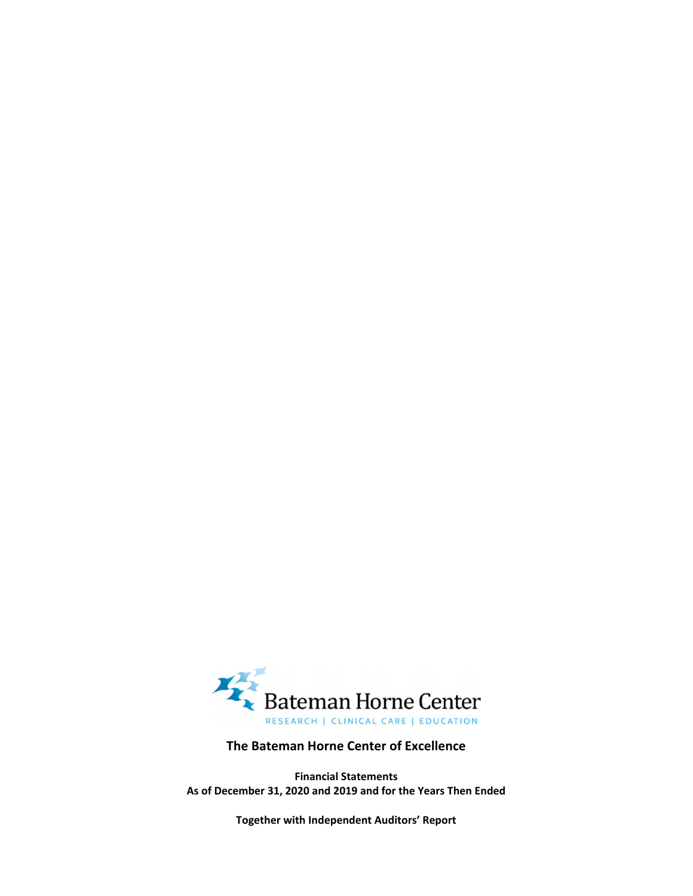Right Answers, Right Here.







# **The Bateman Horne Center of Excellence**

**Financial Statements As of December 31, 2020 and 2019 and for the Years Then Ended**

**Together with Independent Auditors' Report**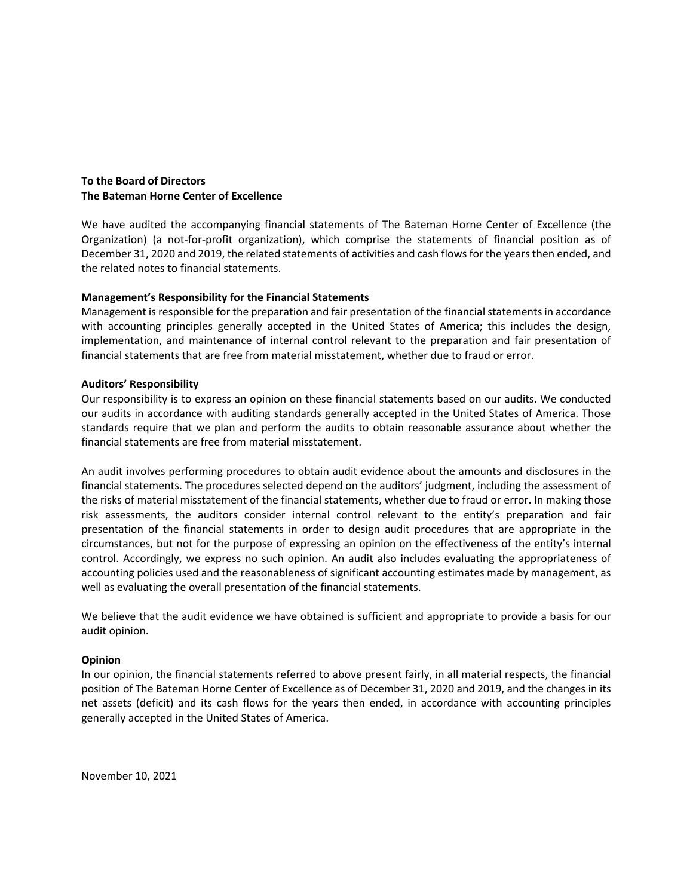

Independent Auditors' Report

### **To the Board of Directors The Bateman Horne Center of Excellence**

We have audited the accompanying financial statements of The Bateman Horne Center of Excellence (the Organization) (a not‐for‐profit organization), which comprise the statements of financial position as of December 31, 2020 and 2019, the related statements of activities and cash flows for the years then ended, and the related notes to financial statements.

### **Management's Responsibility for the Financial Statements**

Management is responsible for the preparation and fair presentation of the financial statements in accordance with accounting principles generally accepted in the United States of America; this includes the design, implementation, and maintenance of internal control relevant to the preparation and fair presentation of financial statements that are free from material misstatement, whether due to fraud or error.

### **Auditors' Responsibility**

Our responsibility is to express an opinion on these financial statements based on our audits. We conducted our audits in accordance with auditing standards generally accepted in the United States of America. Those standards require that we plan and perform the audits to obtain reasonable assurance about whether the financial statements are free from material misstatement.

An audit involves performing procedures to obtain audit evidence about the amounts and disclosures in the financial statements. The procedures selected depend on the auditors' judgment, including the assessment of the risks of material misstatement of the financial statements, whether due to fraud or error. In making those risk assessments, the auditors consider internal control relevant to the entity's preparation and fair presentation of the financial statements in order to design audit procedures that are appropriate in the circumstances, but not for the purpose of expressing an opinion on the effectiveness of the entity's internal control. Accordingly, we express no such opinion. An audit also includes evaluating the appropriateness of accounting policies used and the reasonableness of significant accounting estimates made by management, as well as evaluating the overall presentation of the financial statements.

We believe that the audit evidence we have obtained is sufficient and appropriate to provide a basis for our audit opinion.

### **Opinion**

In our opinion, the financial statements referred to above present fairly, in all material respects, the financial position of The Bateman Horne Center of Excellence as of December 31, 2020 and 2019, and the changes in its net assets (deficit) and its cash flows for the years then ended, in accordance with accounting principles generally accepted in the United States of America.

Tanner LLC

November 10, 2021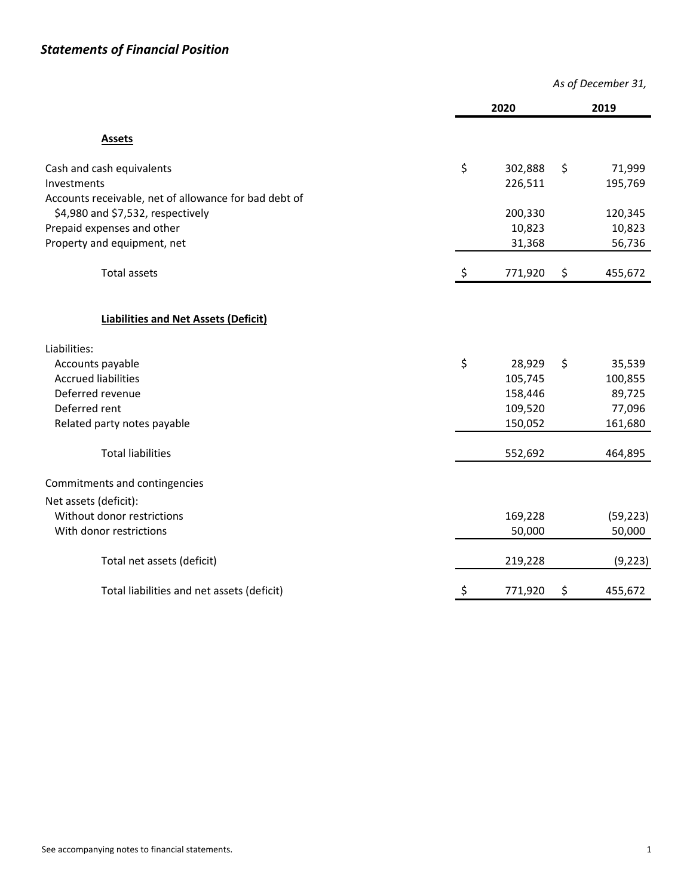|                                                       | As of December 31, |         |    |           |
|-------------------------------------------------------|--------------------|---------|----|-----------|
|                                                       |                    | 2020    |    | 2019      |
| <b>Assets</b>                                         |                    |         |    |           |
| Cash and cash equivalents                             | \$                 | 302,888 | \$ | 71,999    |
| Investments                                           |                    | 226,511 |    | 195,769   |
| Accounts receivable, net of allowance for bad debt of |                    |         |    |           |
| \$4,980 and \$7,532, respectively                     |                    | 200,330 |    | 120,345   |
| Prepaid expenses and other                            |                    | 10,823  |    | 10,823    |
| Property and equipment, net                           |                    | 31,368  |    | 56,736    |
| <b>Total assets</b>                                   | \$                 | 771,920 | \$ | 455,672   |
| <b>Liabilities and Net Assets (Deficit)</b>           |                    |         |    |           |
| Liabilities:                                          |                    |         |    |           |
| Accounts payable                                      | \$                 | 28,929  | \$ | 35,539    |
| <b>Accrued liabilities</b>                            |                    | 105,745 |    | 100,855   |
| Deferred revenue                                      |                    | 158,446 |    | 89,725    |
| Deferred rent                                         |                    | 109,520 |    | 77,096    |
| Related party notes payable                           |                    | 150,052 |    | 161,680   |
| <b>Total liabilities</b>                              |                    | 552,692 |    | 464,895   |
| Commitments and contingencies                         |                    |         |    |           |
| Net assets (deficit):                                 |                    |         |    |           |
| Without donor restrictions                            |                    | 169,228 |    | (59, 223) |
| With donor restrictions                               |                    | 50,000  |    | 50,000    |
| Total net assets (deficit)                            |                    | 219,228 |    | (9, 223)  |
| Total liabilities and net assets (deficit)            | \$                 | 771,920 | \$ | 455,672   |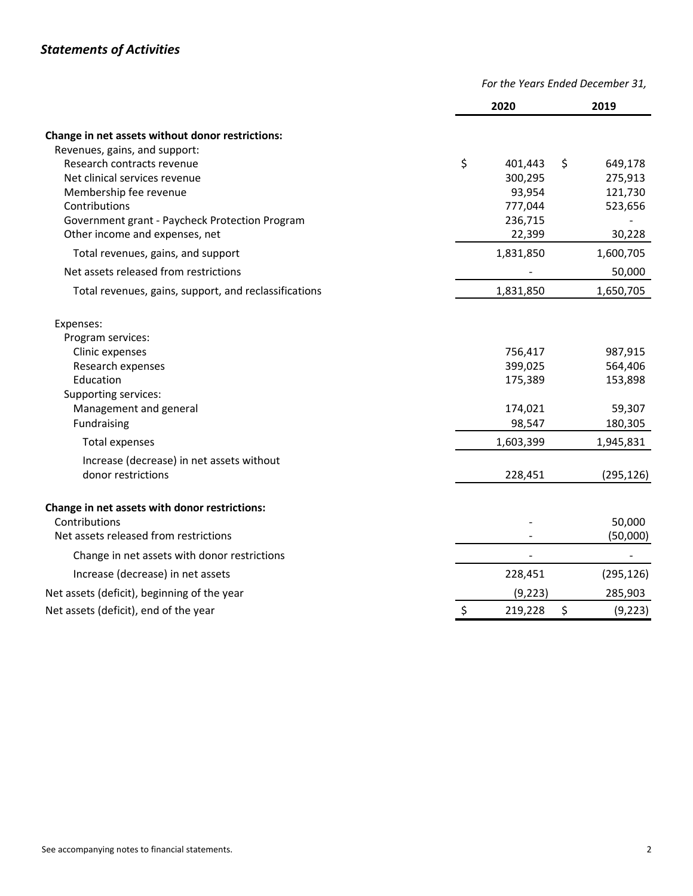|                                                       | For the Years Ended December 31, |                |
|-------------------------------------------------------|----------------------------------|----------------|
|                                                       | 2020                             | 2019           |
| Change in net assets without donor restrictions:      |                                  |                |
| Revenues, gains, and support:                         |                                  |                |
| Research contracts revenue                            | \$<br>401,443                    | \$<br>649,178  |
| Net clinical services revenue                         | 300,295                          | 275,913        |
| Membership fee revenue                                | 93,954                           | 121,730        |
| Contributions                                         | 777,044                          | 523,656        |
| Government grant - Paycheck Protection Program        | 236,715                          |                |
| Other income and expenses, net                        | 22,399                           | 30,228         |
| Total revenues, gains, and support                    | 1,831,850                        | 1,600,705      |
| Net assets released from restrictions                 |                                  | 50,000         |
| Total revenues, gains, support, and reclassifications | 1,831,850                        | 1,650,705      |
| Expenses:<br>Program services:                        |                                  |                |
| Clinic expenses                                       | 756,417                          | 987,915        |
| Research expenses                                     | 399,025                          | 564,406        |
| Education                                             | 175,389                          | 153,898        |
| Supporting services:                                  |                                  |                |
| Management and general                                | 174,021                          | 59,307         |
| Fundraising                                           | 98,547                           | 180,305        |
| <b>Total expenses</b>                                 | 1,603,399                        | 1,945,831      |
| Increase (decrease) in net assets without             |                                  |                |
| donor restrictions                                    | 228,451                          | (295, 126)     |
| Change in net assets with donor restrictions:         |                                  |                |
| Contributions                                         |                                  | 50,000         |
| Net assets released from restrictions                 |                                  | (50,000)       |
| Change in net assets with donor restrictions          |                                  |                |
| Increase (decrease) in net assets                     | 228,451                          | (295, 126)     |
| Net assets (deficit), beginning of the year           | (9, 223)                         | 285,903        |
| Net assets (deficit), end of the year                 | \$<br>219,228                    | \$<br>(9, 223) |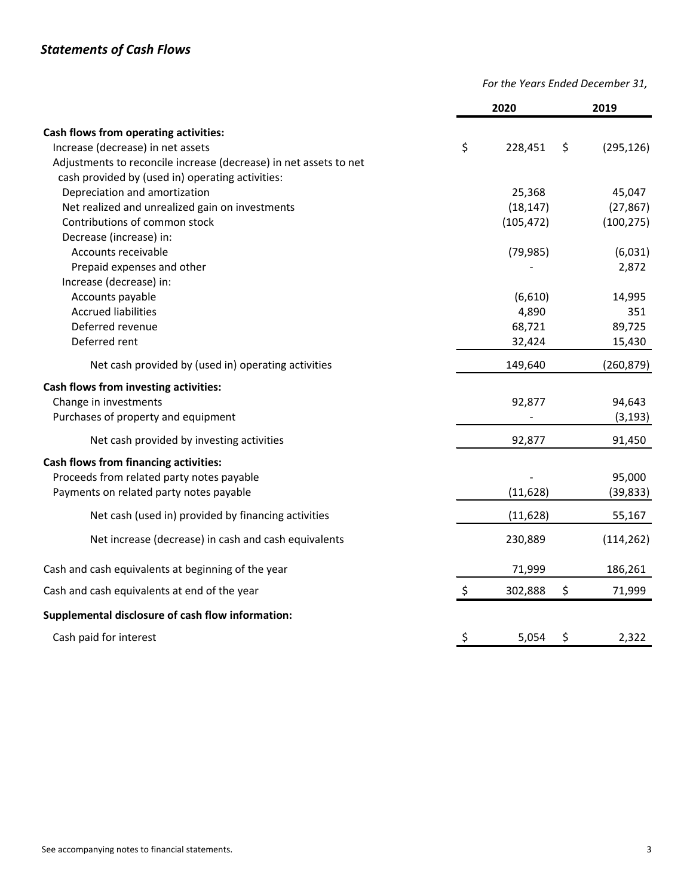*For the Years Ended December 31,*

|                                                                   | 2020          | 2019             |
|-------------------------------------------------------------------|---------------|------------------|
| Cash flows from operating activities:                             |               |                  |
| Increase (decrease) in net assets                                 | \$<br>228,451 | \$<br>(295, 126) |
| Adjustments to reconcile increase (decrease) in net assets to net |               |                  |
| cash provided by (used in) operating activities:                  |               |                  |
| Depreciation and amortization                                     | 25,368        | 45,047           |
| Net realized and unrealized gain on investments                   | (18, 147)     | (27, 867)        |
| Contributions of common stock                                     | (105, 472)    | (100, 275)       |
| Decrease (increase) in:                                           |               |                  |
| Accounts receivable                                               | (79, 985)     | (6,031)          |
| Prepaid expenses and other                                        |               | 2,872            |
| Increase (decrease) in:                                           |               |                  |
| Accounts payable                                                  | (6,610)       | 14,995           |
| <b>Accrued liabilities</b>                                        | 4,890         | 351              |
| Deferred revenue                                                  | 68,721        | 89,725           |
| Deferred rent                                                     | 32,424        | 15,430           |
| Net cash provided by (used in) operating activities               | 149,640       | (260, 879)       |
| Cash flows from investing activities:                             |               |                  |
| Change in investments                                             | 92,877        | 94,643           |
| Purchases of property and equipment                               |               | (3, 193)         |
| Net cash provided by investing activities                         | 92,877        | 91,450           |
| <b>Cash flows from financing activities:</b>                      |               |                  |
| Proceeds from related party notes payable                         |               | 95,000           |
| Payments on related party notes payable                           | (11, 628)     | (39, 833)        |
| Net cash (used in) provided by financing activities               | (11, 628)     | 55,167           |
| Net increase (decrease) in cash and cash equivalents              | 230,889       | (114, 262)       |
| Cash and cash equivalents at beginning of the year                | 71,999        | 186,261          |
| Cash and cash equivalents at end of the year                      | \$<br>302,888 | \$<br>71,999     |
| Supplemental disclosure of cash flow information:                 |               |                  |
| Cash paid for interest                                            | \$<br>5,054   | \$<br>2,322      |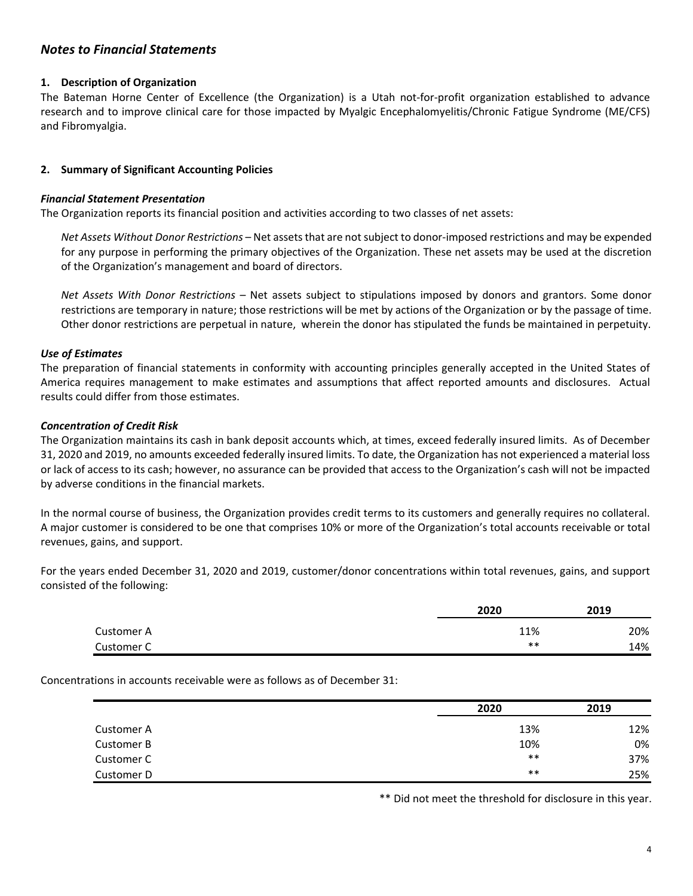## **1. Description of Organization**

The Bateman Horne Center of Excellence (the Organization) is a Utah not-for-profit organization established to advance research and to improve clinical care for those impacted by Myalgic Encephalomyelitis/Chronic Fatigue Syndrome (ME/CFS) and Fibromyalgia.

### **2. Summary of Significant Accounting Policies**

### *Financial Statement Presentation*

The Organization reports its financial position and activities according to two classes of net assets:

*Net Assets Without Donor Restrictions* – Net assetsthat are notsubject to donor‐imposed restrictions and may be expended for any purpose in performing the primary objectives of the Organization. These net assets may be used at the discretion of the Organization's management and board of directors.

*Net Assets With Donor Restrictions* – Net assets subject to stipulations imposed by donors and grantors. Some donor restrictions are temporary in nature; those restrictions will be met by actions of the Organization or by the passage of time. Other donor restrictions are perpetual in nature, wherein the donor has stipulated the funds be maintained in perpetuity.

### *Use of Estimates*

The preparation of financial statements in conformity with accounting principles generally accepted in the United States of America requires management to make estimates and assumptions that affect reported amounts and disclosures. Actual results could differ from those estimates.

### *Concentration of Credit Risk*

The Organization maintains its cash in bank deposit accounts which, at times, exceed federally insured limits. As of December 31, 2020 and 2019, no amounts exceeded federally insured limits. To date, the Organization has not experienced a material loss or lack of access to its cash; however, no assurance can be provided that access to the Organization's cash will not be impacted by adverse conditions in the financial markets.

In the normal course of business, the Organization provides credit terms to its customers and generally requires no collateral. A major customer is considered to be one that comprises 10% or more of the Organization's total accounts receivable or total revenues, gains, and support.

For the years ended December 31, 2020 and 2019, customer/donor concentrations within total revenues, gains, and support consisted of the following:

|            | 2020  | 2019 |
|------------|-------|------|
| Customer A | 11%   | 20%  |
| Customer C | $***$ | 14%  |

Concentrations in accounts receivable were as follows as of December 31:

|            | 2020  | 2019 |
|------------|-------|------|
| Customer A | 13%   | 12%  |
| Customer B | 10%   | 0%   |
| Customer C | $***$ | 37%  |
| Customer D | $***$ | 25%  |

\*\* Did not meet the threshold for disclosure in this year.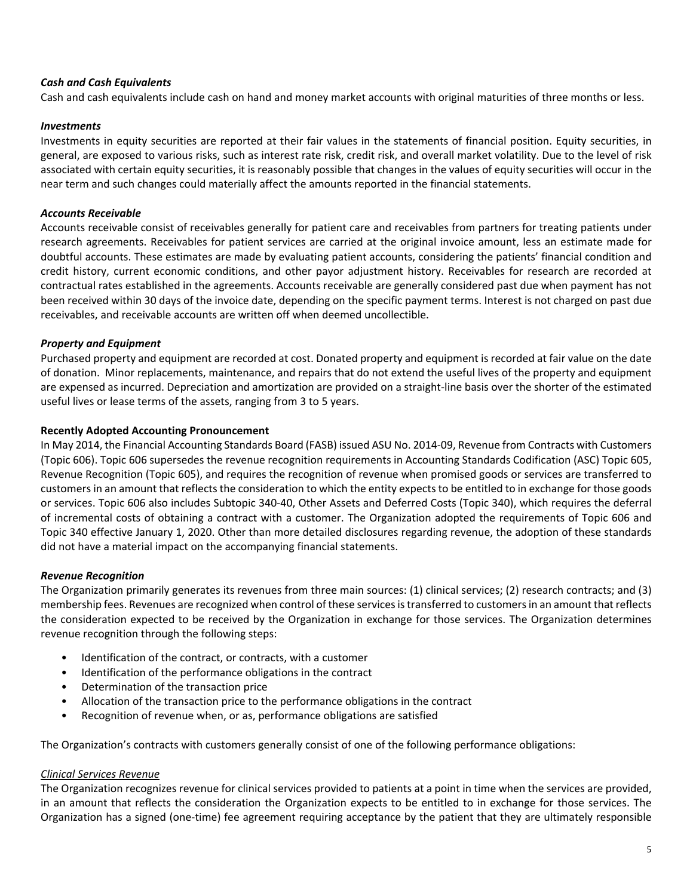## *Cash and Cash Equivalents*

Cash and cash equivalents include cash on hand and money market accounts with original maturities of three months or less.

### *Investments*

Investments in equity securities are reported at their fair values in the statements of financial position. Equity securities, in general, are exposed to various risks, such as interest rate risk, credit risk, and overall market volatility. Due to the level of risk associated with certain equity securities, it is reasonably possible that changes in the values of equity securities will occur in the near term and such changes could materially affect the amounts reported in the financial statements.

### *Accounts Receivable*

Accounts receivable consist of receivables generally for patient care and receivables from partners for treating patients under research agreements. Receivables for patient services are carried at the original invoice amount, less an estimate made for doubtful accounts. These estimates are made by evaluating patient accounts, considering the patients' financial condition and credit history, current economic conditions, and other payor adjustment history. Receivables for research are recorded at contractual rates established in the agreements. Accounts receivable are generally considered past due when payment has not been received within 30 days of the invoice date, depending on the specific payment terms. Interest is not charged on past due receivables, and receivable accounts are written off when deemed uncollectible.

### *Property and Equipment*

Purchased property and equipment are recorded at cost. Donated property and equipment is recorded at fair value on the date of donation. Minor replacements, maintenance, and repairs that do not extend the useful lives of the property and equipment are expensed as incurred. Depreciation and amortization are provided on a straight‐line basis over the shorter of the estimated useful lives or lease terms of the assets, ranging from 3 to 5 years.

### **Recently Adopted Accounting Pronouncement**

In May 2014, the Financial Accounting Standards Board (FASB) issued ASU No. 2014‐09, Revenue from Contracts with Customers (Topic 606). Topic 606 supersedes the revenue recognition requirements in Accounting Standards Codification (ASC) Topic 605, Revenue Recognition (Topic 605), and requires the recognition of revenue when promised goods or services are transferred to customers in an amount that reflects the consideration to which the entity expects to be entitled to in exchange for those goods or services. Topic 606 also includes Subtopic 340‐40, Other Assets and Deferred Costs (Topic 340), which requires the deferral of incremental costs of obtaining a contract with a customer. The Organization adopted the requirements of Topic 606 and Topic 340 effective January 1, 2020. Other than more detailed disclosures regarding revenue, the adoption of these standards did not have a material impact on the accompanying financial statements.

## *Revenue Recognition*

The Organization primarily generates its revenues from three main sources: (1) clinical services; (2) research contracts; and (3) membership fees. Revenues are recognized when control of these servicesistransferred to customersin an amount that reflects the consideration expected to be received by the Organization in exchange for those services. The Organization determines revenue recognition through the following steps:

- Identification of the contract, or contracts, with a customer
- Identification of the performance obligations in the contract
- Determination of the transaction price
- Allocation of the transaction price to the performance obligations in the contract
- Recognition of revenue when, or as, performance obligations are satisfied

The Organization's contracts with customers generally consist of one of the following performance obligations:

### *Clinical Services Revenue*

The Organization recognizes revenue for clinical services provided to patients at a point in time when the services are provided, in an amount that reflects the consideration the Organization expects to be entitled to in exchange for those services. The Organization has a signed (one‐time) fee agreement requiring acceptance by the patient that they are ultimately responsible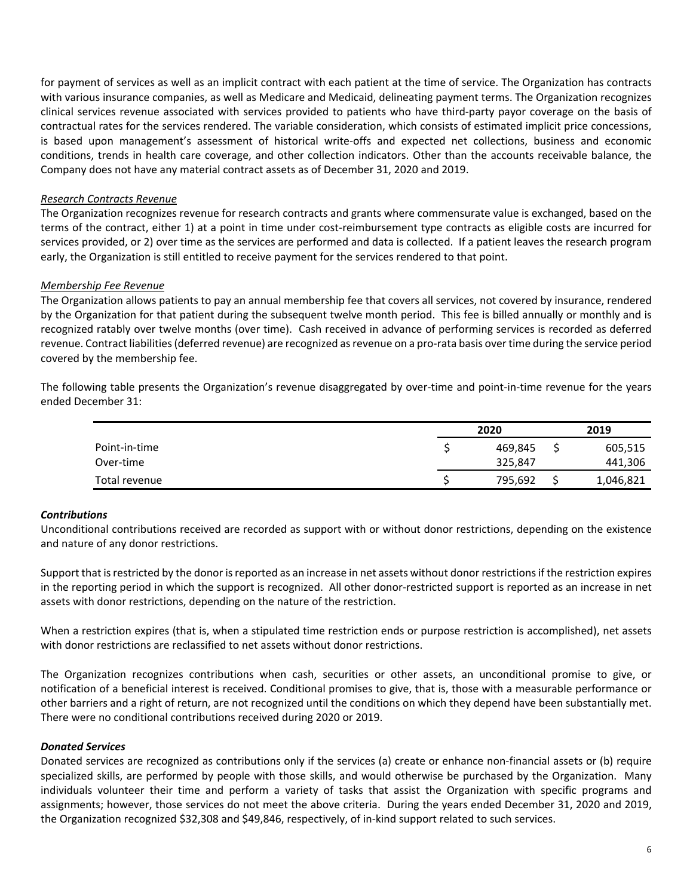for payment of services as well as an implicit contract with each patient at the time of service. The Organization has contracts with various insurance companies, as well as Medicare and Medicaid, delineating payment terms. The Organization recognizes clinical services revenue associated with services provided to patients who have third‐party payor coverage on the basis of contractual rates for the services rendered. The variable consideration, which consists of estimated implicit price concessions, is based upon management's assessment of historical write‐offs and expected net collections, business and economic conditions, trends in health care coverage, and other collection indicators. Other than the accounts receivable balance, the Company does not have any material contract assets as of December 31, 2020 and 2019.

## *Research Contracts Revenue*

The Organization recognizes revenue for research contracts and grants where commensurate value is exchanged, based on the terms of the contract, either 1) at a point in time under cost-reimbursement type contracts as eligible costs are incurred for services provided, or 2) over time as the services are performed and data is collected. If a patient leaves the research program early, the Organization is still entitled to receive payment for the services rendered to that point.

### *Membership Fee Revenue*

The Organization allows patients to pay an annual membership fee that covers all services, not covered by insurance, rendered by the Organization for that patient during the subsequent twelve month period. This fee is billed annually or monthly and is recognized ratably over twelve months (over time). Cash received in advance of performing services is recorded as deferred revenue. Contract liabilities (deferred revenue) are recognized as revenue on a pro-rata basis over time during the service period covered by the membership fee.

The following table presents the Organization's revenue disaggregated by over-time and point-in-time revenue for the years ended December 31:

|               | 2020    | 2019      |  |  |
|---------------|---------|-----------|--|--|
| Point-in-time | 469,845 | 605,515   |  |  |
| Over-time     | 325,847 | 441,306   |  |  |
| Total revenue | 795,692 | 1,046,821 |  |  |

#### *Contributions*

Unconditional contributions received are recorded as support with or without donor restrictions, depending on the existence and nature of any donor restrictions.

Support that is restricted by the donor is reported as an increase in net assets without donor restrictions if the restriction expires in the reporting period in which the support is recognized. All other donor-restricted support is reported as an increase in net assets with donor restrictions, depending on the nature of the restriction.

When a restriction expires (that is, when a stipulated time restriction ends or purpose restriction is accomplished), net assets with donor restrictions are reclassified to net assets without donor restrictions.

The Organization recognizes contributions when cash, securities or other assets, an unconditional promise to give, or notification of a beneficial interest is received. Conditional promises to give, that is, those with a measurable performance or other barriers and a right of return, are not recognized until the conditions on which they depend have been substantially met. There were no conditional contributions received during 2020 or 2019.

### *Donated Services*

Donated services are recognized as contributions only if the services (a) create or enhance non-financial assets or (b) require specialized skills, are performed by people with those skills, and would otherwise be purchased by the Organization. Many individuals volunteer their time and perform a variety of tasks that assist the Organization with specific programs and assignments; however, those services do not meet the above criteria. During the years ended December 31, 2020 and 2019, the Organization recognized \$32,308 and \$49,846, respectively, of in‐kind support related to such services.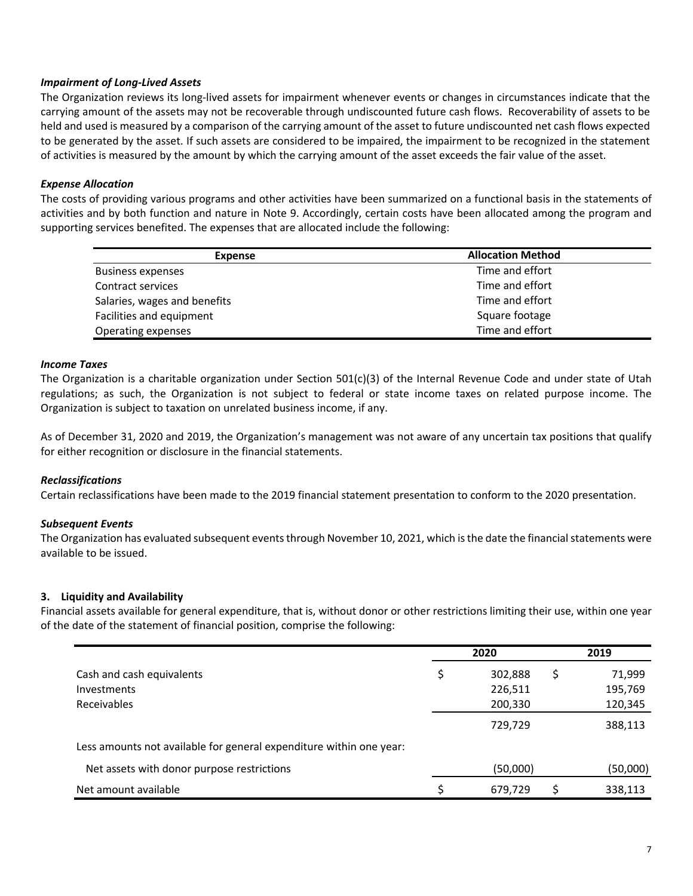## *Impairment of Long‐Lived Assets*

The Organization reviews its long‐lived assets for impairment whenever events or changes in circumstances indicate that the carrying amount of the assets may not be recoverable through undiscounted future cash flows. Recoverability of assets to be held and used is measured by a comparison of the carrying amount of the asset to future undiscounted net cash flows expected to be generated by the asset. If such assets are considered to be impaired, the impairment to be recognized in the statement of activities is measured by the amount by which the carrying amount of the asset exceeds the fair value of the asset.

### *Expense Allocation*

The costs of providing various programs and other activities have been summarized on a functional basis in the statements of activities and by both function and nature in Note 9. Accordingly, certain costs have been allocated among the program and supporting services benefited. The expenses that are allocated include the following:

| <b>Expense</b>               | <b>Allocation Method</b> |
|------------------------------|--------------------------|
| <b>Business expenses</b>     | Time and effort          |
| Contract services            | Time and effort          |
| Salaries, wages and benefits | Time and effort          |
| Facilities and equipment     | Square footage           |
| Operating expenses           | Time and effort          |

### *Income Taxes*

The Organization is a charitable organization under Section  $501(c)(3)$  of the Internal Revenue Code and under state of Utah regulations; as such, the Organization is not subject to federal or state income taxes on related purpose income. The Organization is subject to taxation on unrelated business income, if any.

As of December 31, 2020 and 2019, the Organization's management was not aware of any uncertain tax positions that qualify for either recognition or disclosure in the financial statements.

### *Reclassifications*

Certain reclassifications have been made to the 2019 financial statement presentation to conform to the 2020 presentation.

### *Subsequent Events*

The Organization has evaluated subsequent events through November 10, 2021, which is the date the financial statements were available to be issued.

### **3. Liquidity and Availability**

Financial assets available for general expenditure, that is, without donor or other restrictions limiting their use, within one year of the date of the statement of financial position, comprise the following:

|                                                                     | 2020          | 2019        |
|---------------------------------------------------------------------|---------------|-------------|
| Cash and cash equivalents                                           | \$<br>302,888 | S<br>71,999 |
| <b>Investments</b>                                                  | 226,511       | 195,769     |
| Receivables                                                         | 200,330       | 120,345     |
|                                                                     | 729,729       | 388,113     |
| Less amounts not available for general expenditure within one year: |               |             |
| Net assets with donor purpose restrictions                          | (50,000)      | (50,000)    |
| Net amount available                                                | 679,729       | 338,113     |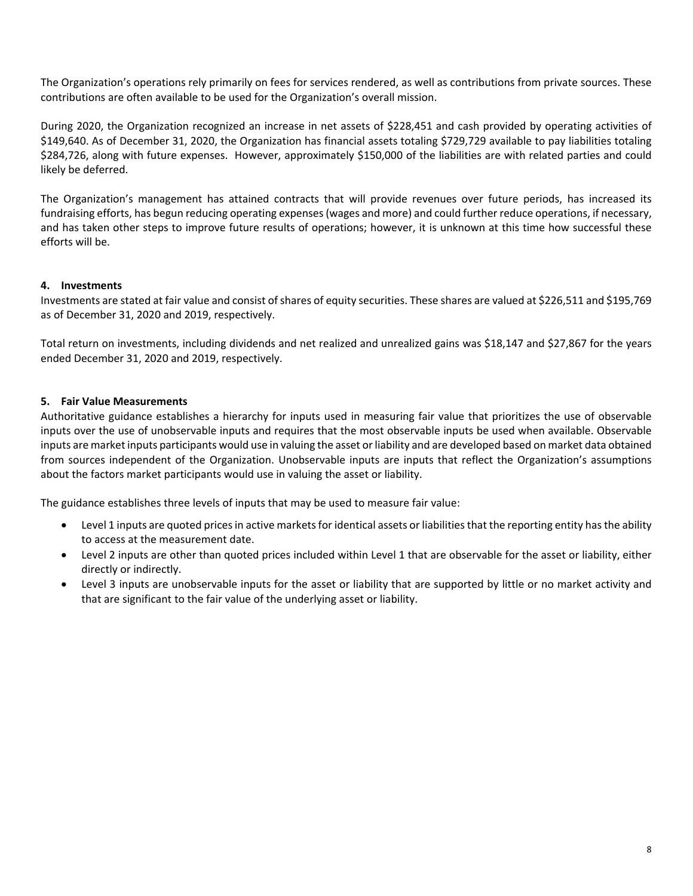The Organization's operations rely primarily on fees for services rendered, as well as contributions from private sources. These contributions are often available to be used for the Organization's overall mission.

During 2020, the Organization recognized an increase in net assets of \$228,451 and cash provided by operating activities of \$149,640. As of December 31, 2020, the Organization has financial assets totaling \$729,729 available to pay liabilities totaling \$284,726, along with future expenses. However, approximately \$150,000 of the liabilities are with related parties and could likely be deferred.

The Organization's management has attained contracts that will provide revenues over future periods, has increased its fundraising efforts, has begun reducing operating expenses(wages and more) and could further reduce operations, if necessary, and has taken other steps to improve future results of operations; however, it is unknown at this time how successful these efforts will be.

## **4. Investments**

Investments are stated at fair value and consist of shares of equity securities. These shares are valued at \$226,511 and \$195,769 as of December 31, 2020 and 2019, respectively.

Total return on investments, including dividends and net realized and unrealized gains was \$18,147 and \$27,867 for the years ended December 31, 2020 and 2019, respectively.

## **5. Fair Value Measurements**

Authoritative guidance establishes a hierarchy for inputs used in measuring fair value that prioritizes the use of observable inputs over the use of unobservable inputs and requires that the most observable inputs be used when available. Observable inputs are market inputs participants would use in valuing the asset or liability and are developed based on market data obtained from sources independent of the Organization. Unobservable inputs are inputs that reflect the Organization's assumptions about the factors market participants would use in valuing the asset or liability.

The guidance establishes three levels of inputs that may be used to measure fair value:

- Level 1 inputs are quoted pricesin active marketsfor identical assets or liabilitiesthat the reporting entity hasthe ability to access at the measurement date.
- Level 2 inputs are other than quoted prices included within Level 1 that are observable for the asset or liability, either directly or indirectly.
- Level 3 inputs are unobservable inputs for the asset or liability that are supported by little or no market activity and that are significant to the fair value of the underlying asset or liability.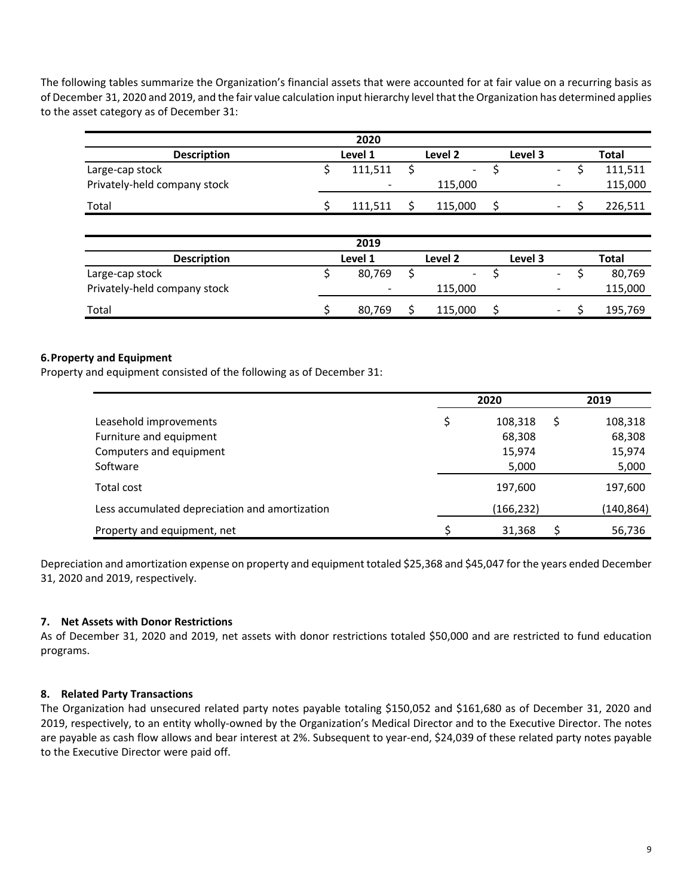The following tables summarize the Organization's financial assets that were accounted for at fair value on a recurring basis as of December 31, 2020 and 2019, and the fair value calculation input hierarchy level that the Organization has determined applies to the asset category as of December 31:

|                              |         | 2020    |   |               |    |         |                          |   |              |  |
|------------------------------|---------|---------|---|---------------|----|---------|--------------------------|---|--------------|--|
| <b>Description</b>           | Level 1 |         |   | Level 2       |    | Level 3 |                          |   | Total        |  |
| Large-cap stock              | Ş       | 111,511 |   | -             | Ş  |         | $\blacksquare$           |   | 111,511      |  |
| Privately-held company stock |         |         |   | 115,000       |    |         | $\overline{\phantom{a}}$ |   | 115,000      |  |
| Total                        |         | 111,511 |   | 115,000       | \$ |         | $\blacksquare$           |   | 226,511      |  |
|                              |         |         |   |               |    |         |                          |   |              |  |
|                              |         | 2019    |   |               |    |         |                          |   |              |  |
| <b>Description</b>           |         | Level 1 |   | Level 2       |    | Level 3 |                          |   | <b>Total</b> |  |
| Large-cap stock              | \$      | 80,769  | Ś | $\frac{1}{2}$ | \$ |         | $\blacksquare$           | Ś | 80,769       |  |
| Privately-held company stock |         |         |   | 115,000       |    |         | $\overline{\phantom{a}}$ |   | 115,000      |  |
| Total                        |         | 80,769  |   | 115,000       | \$ |         | $\overline{\phantom{a}}$ |   | 195,769      |  |

## **6.Property and Equipment**

Property and equipment consisted of the following as of December 31:

|                                                | 2020          | 2019          |
|------------------------------------------------|---------------|---------------|
| Leasehold improvements                         | \$<br>108,318 | \$<br>108,318 |
| Furniture and equipment                        | 68,308        | 68,308        |
| Computers and equipment                        | 15,974        | 15,974        |
| Software                                       | 5,000         | 5,000         |
| Total cost                                     | 197,600       | 197,600       |
| Less accumulated depreciation and amortization | (166, 232)    | (140, 864)    |
| Property and equipment, net                    | 31,368        | 56,736        |

Depreciation and amortization expense on property and equipment totaled \$25,368 and \$45,047 for the years ended December 31, 2020 and 2019, respectively.

### **7. Net Assets with Donor Restrictions**

As of December 31, 2020 and 2019, net assets with donor restrictions totaled \$50,000 and are restricted to fund education programs.

### **8. Related Party Transactions**

The Organization had unsecured related party notes payable totaling \$150,052 and \$161,680 as of December 31, 2020 and 2019, respectively, to an entity wholly‐owned by the Organization's Medical Director and to the Executive Director. The notes are payable as cash flow allows and bear interest at 2%. Subsequent to year-end, \$24,039 of these related party notes payable to the Executive Director were paid off.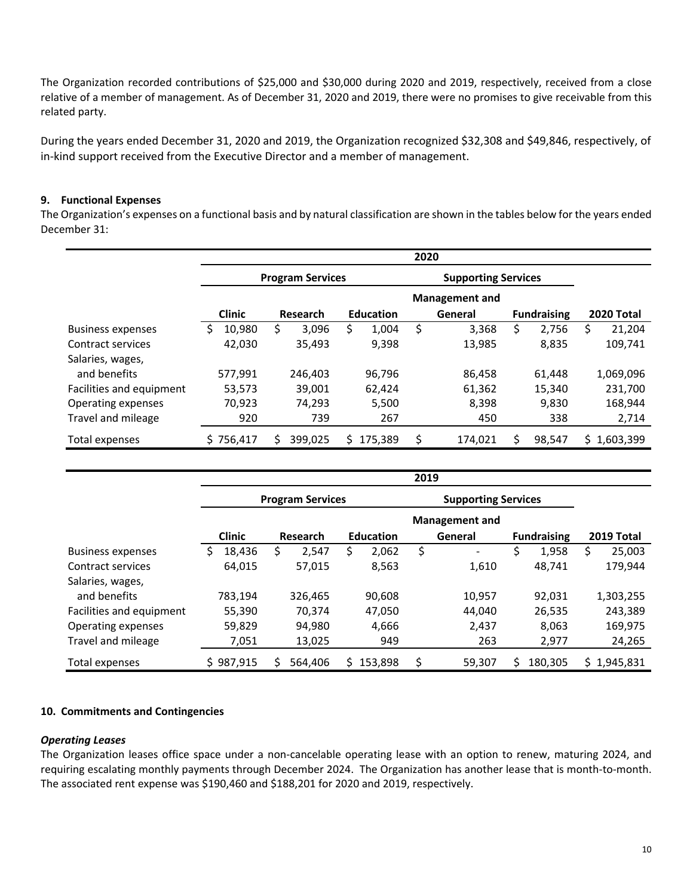The Organization recorded contributions of \$25,000 and \$30,000 during 2020 and 2019, respectively, received from a close relative of a member of management. As of December 31, 2020 and 2019, there were no promises to give receivable from this related party.

During the years ended December 31, 2020 and 2019, the Organization recognized \$32,308 and \$49,846, respectively, of in-kind support received from the Executive Director and a member of management.

# **9. Functional Expenses**

The Organization's expenses on a functional basis and by natural classification are shown in the tables below for the years ended December 31:

|                          | 2020          |                         |                  |                            |                    |                   |  |  |  |
|--------------------------|---------------|-------------------------|------------------|----------------------------|--------------------|-------------------|--|--|--|
|                          |               | <b>Program Services</b> |                  | <b>Supporting Services</b> |                    |                   |  |  |  |
|                          |               |                         |                  | <b>Management and</b>      |                    |                   |  |  |  |
|                          | <b>Clinic</b> | Research                | <b>Education</b> | General                    | <b>Fundraising</b> | <b>2020 Total</b> |  |  |  |
| <b>Business expenses</b> | 10,980        | 3,096<br>Ś.             | \$<br>1,004      | \$<br>3,368                | \$<br>2,756        | Ś<br>21,204       |  |  |  |
| Contract services        | 42.030        | 35.493                  | 9,398            | 13,985                     | 8,835              | 109,741           |  |  |  |
| Salaries, wages,         |               |                         |                  |                            |                    |                   |  |  |  |
| and benefits             | 577.991       | 246.403                 | 96.796           | 86,458                     | 61,448             | 1,069,096         |  |  |  |
| Facilities and equipment | 53,573        | 39,001                  | 62,424           | 61,362                     | 15,340             | 231,700           |  |  |  |
| Operating expenses       | 70,923        | 74.293                  | 5,500            | 8.398                      | 9.830              | 168,944           |  |  |  |
| Travel and mileage       | 920           | 739                     | 267              | 450                        | 338                | 2,714             |  |  |  |
| Total expenses           | \$756,417     | 399,025                 | 175,389<br>S.    | 174,021                    | 98,547             | 1,603,399<br>S.   |  |  |  |

|                          | 2019          |                         |                  |                            |                    |             |  |  |  |  |
|--------------------------|---------------|-------------------------|------------------|----------------------------|--------------------|-------------|--|--|--|--|
|                          |               | <b>Program Services</b> |                  | <b>Supporting Services</b> |                    |             |  |  |  |  |
|                          |               |                         |                  | <b>Management and</b>      |                    |             |  |  |  |  |
|                          | <b>Clinic</b> | Research                | <b>Education</b> | General                    | <b>Fundraising</b> | 2019 Total  |  |  |  |  |
| <b>Business expenses</b> | 18,436<br>S   | 2.547<br>S              | \$<br>2,062      | Ś                          | \$<br>1,958        | Ś<br>25,003 |  |  |  |  |
| Contract services        | 64,015        | 57,015                  | 8,563            | 1,610                      | 48,741             | 179,944     |  |  |  |  |
| Salaries, wages,         |               |                         |                  |                            |                    |             |  |  |  |  |
| and benefits             | 783,194       | 326,465                 | 90,608           | 10,957                     | 92,031             | 1,303,255   |  |  |  |  |
| Facilities and equipment | 55,390        | 70.374                  | 47,050           | 44,040                     | 26,535             | 243.389     |  |  |  |  |
| Operating expenses       | 59,829        | 94,980                  | 4,666            | 2,437                      | 8,063              | 169,975     |  |  |  |  |
| Travel and mileage       | 7,051         | 13,025                  | 949              | 263                        | 2,977              | 24,265      |  |  |  |  |
| Total expenses           | \$987,915     | 564.406                 | 153.898          | \$<br>59,307               | Ś<br>180,305       | \$1,945,831 |  |  |  |  |

## **10. Commitments and Contingencies**

## *Operating Leases*

The Organization leases office space under a non-cancelable operating lease with an option to renew, maturing 2024, and requiring escalating monthly payments through December 2024. The Organization has another lease that is month‐to‐month. The associated rent expense was \$190,460 and \$188,201 for 2020 and 2019, respectively.